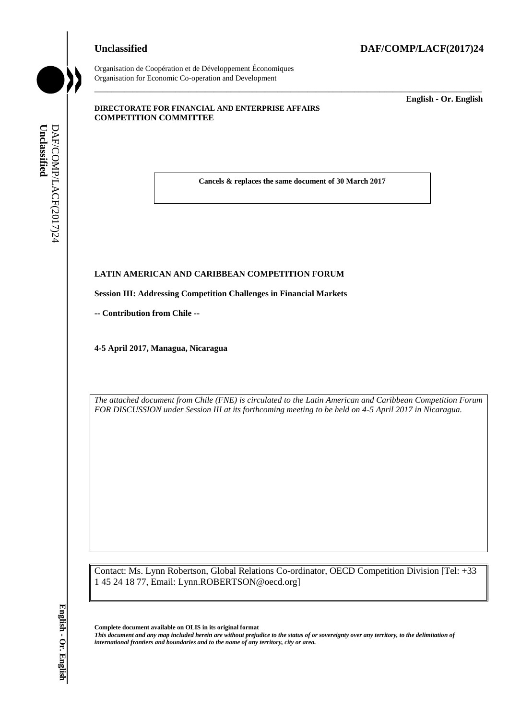#### **Unclassified DAF/COMP/LACF(2017)24**



Organisation de Coopération et de Développement Économiques Organisation for Economic Co-operation and Development

#### **DIRECTORATE FOR FINANCIAL AND ENTERPRISE AFFAIRS COMPETITION COMMITTEE**

\_\_\_\_\_\_\_\_\_\_\_\_\_ **English - Or. English**

**Cancels & replaces the same document of 30 March 2017**

\_\_\_\_\_\_\_\_\_\_\_\_\_\_\_\_\_\_\_\_\_\_\_\_\_\_\_\_\_\_\_\_\_\_\_\_\_\_\_\_\_\_\_\_\_\_\_\_\_\_\_\_\_\_\_\_\_\_\_\_\_\_\_\_\_\_\_\_\_\_\_\_\_\_\_\_\_\_\_\_\_\_\_\_\_\_\_\_\_\_\_

# **LATIN AMERICAN AND CARIBBEAN COMPETITION FORUM LATIN AMERICAN AND C<br>Session III: Addressing Com<br>-- Contribution from Chile --**

**Session III: Addressing Competition Challenges in Financial Markets**

**4-5 April 2017, Managua, Nicaragua**

*The attached document from Chile (FNE) is circulated to the Latin American and Caribbean Competition Forum FOR DISCUSSION under Session III at its forthcoming meeting to be held on 4-5 April 2017 in Nicaragua.*

Contact: Ms. Lynn Robertson, Global Relations Co-ordinator, OECD Competition Division [Tel: +33 1 45 24 18 77, Email: Lynn.ROBERTSON@oecd.org] **i international frontiers and boundaries and boundaries and boundaries and determined DAF/COMP COMP (Second TII: Addressing Competition Challenges in Financial<br>
- Contribution from Chile --<br>
4-5 April 2017, Managua, Nic** 

**Complete document available on OLIS in its original format**

*This document and any map included herein are without prejudice to the status of or sovereignty over any territory, to the delimitation of*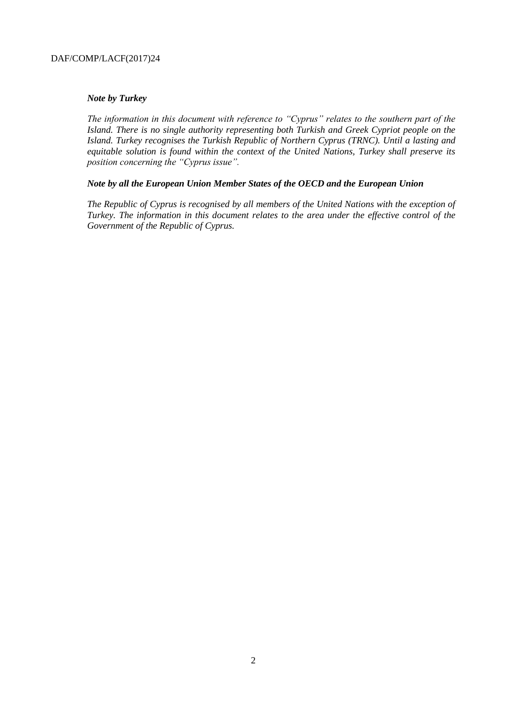#### *Note by Turkey*

*The information in this document with reference to "Cyprus" relates to the southern part of the Island. There is no single authority representing both Turkish and Greek Cypriot people on the Island. Turkey recognises the Turkish Republic of Northern Cyprus (TRNC). Until a lasting and equitable solution is found within the context of the United Nations, Turkey shall preserve its position concerning the "Cyprus issue".*

#### *Note by all the European Union Member States of the OECD and the European Union*

*The Republic of Cyprus is recognised by all members of the United Nations with the exception of Turkey. The information in this document relates to the area under the effective control of the Government of the Republic of Cyprus.*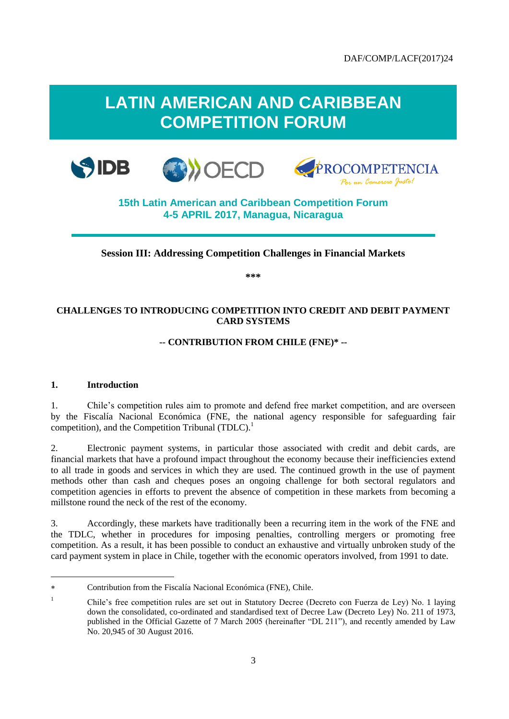## **LATIN AMERICAN AND CARIBBEAN COMPETITION FORUM**







### **15th Latin American and Caribbean Competition Forum 4-5 APRIL 2017, Managua, Nicaragua**

#### **Session III: Addressing Competition Challenges in Financial Markets**

**\*\*\***

#### **CHALLENGES TO INTRODUCING COMPETITION INTO CREDIT AND DEBIT PAYMENT CARD SYSTEMS**

#### **-- CONTRIBUTION FROM CHILE (FNE)\* --**

#### **1. Introduction**

l

1. Chile's competition rules aim to promote and defend free market competition, and are overseen by the Fiscalía Nacional Económica (FNE, the national agency responsible for safeguarding fair competition), and the Competition Tribunal  $(TDLC)$ <sup>1</sup>

2. Electronic payment systems, in particular those associated with credit and debit cards, are financial markets that have a profound impact throughout the economy because their inefficiencies extend to all trade in goods and services in which they are used. The continued growth in the use of payment methods other than cash and cheques poses an ongoing challenge for both sectoral regulators and competition agencies in efforts to prevent the absence of competition in these markets from becoming a millstone round the neck of the rest of the economy.

3. Accordingly, these markets have traditionally been a recurring item in the work of the FNE and the TDLC, whether in procedures for imposing penalties, controlling mergers or promoting free competition. As a result, it has been possible to conduct an exhaustive and virtually unbroken study of the card payment system in place in Chile, together with the economic operators involved, from 1991 to date.

Contribution from the Fiscalía Nacional Económica (FNE), Chile.

<sup>&</sup>lt;sup>1</sup> Chile's free competition rules are set out in Statutory Decree (Decreto con Fuerza de Ley) No. 1 laying down the consolidated, co-ordinated and standardised text of Decree Law (Decreto Ley) No. 211 of 1973, published in the Official Gazette of 7 March 2005 (hereinafter "DL 211"), and recently amended by Law No. 20,945 of 30 August 2016.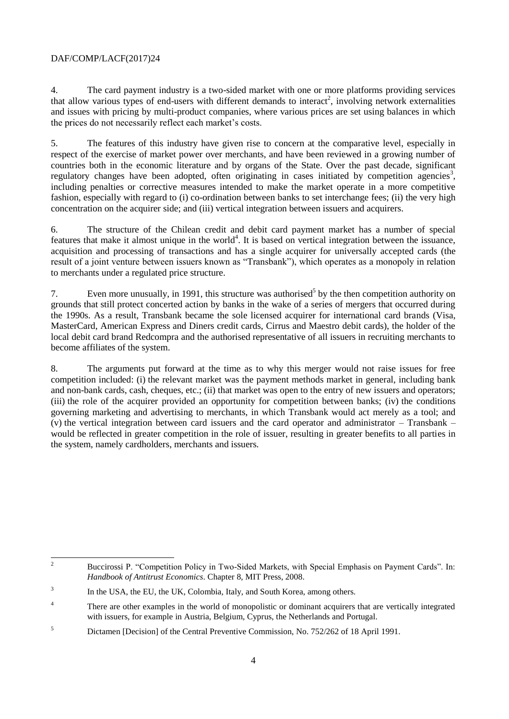4. The card payment industry is a two-sided market with one or more platforms providing services that allow various types of end-users with different demands to interact<sup>2</sup>, involving network externalities and issues with pricing by multi-product companies, where various prices are set using balances in which the prices do not necessarily reflect each market's costs.

5. The features of this industry have given rise to concern at the comparative level, especially in respect of the exercise of market power over merchants, and have been reviewed in a growing number of countries both in the economic literature and by organs of the State. Over the past decade, significant regulatory changes have been adopted, often originating in cases initiated by competition agencies<sup>3</sup>, including penalties or corrective measures intended to make the market operate in a more competitive fashion, especially with regard to (i) co-ordination between banks to set interchange fees; (ii) the very high concentration on the acquirer side; and (iii) vertical integration between issuers and acquirers.

6. The structure of the Chilean credit and debit card payment market has a number of special features that make it almost unique in the world<sup>4</sup>. It is based on vertical integration between the issuance, acquisition and processing of transactions and has a single acquirer for universally accepted cards (the result of a joint venture between issuers known as "Transbank"), which operates as a monopoly in relation to merchants under a regulated price structure.

7. Even more unusually, in 1991, this structure was authorised<sup>5</sup> by the then competition authority on grounds that still protect concerted action by banks in the wake of a series of mergers that occurred during the 1990s. As a result, Transbank became the sole licensed acquirer for international card brands (Visa, MasterCard, American Express and Diners credit cards, Cirrus and Maestro debit cards), the holder of the local debit card brand Redcompra and the authorised representative of all issuers in recruiting merchants to become affiliates of the system.

8. The arguments put forward at the time as to why this merger would not raise issues for free competition included: (i) the relevant market was the payment methods market in general, including bank and non-bank cards, cash, cheques, etc.; (ii) that market was open to the entry of new issuers and operators; (iii) the role of the acquirer provided an opportunity for competition between banks; (iv) the conditions governing marketing and advertising to merchants, in which Transbank would act merely as a tool; and (v) the vertical integration between card issuers and the card operator and administrator – Transbank – would be reflected in greater competition in the role of issuer, resulting in greater benefits to all parties in the system, namely cardholders, merchants and issuers.

 $\overline{c}$ <sup>2</sup> Buccirossi P. "Competition Policy in Two-Sided Markets, with Special Emphasis on Payment Cards". In: *Handbook of Antitrust Economics*. Chapter 8, MIT Press, 2008.

<sup>3</sup> In the USA, the EU, the UK, Colombia, Italy, and South Korea, among others.

<sup>&</sup>lt;sup>4</sup> There are other examples in the world of monopolistic or dominant acquirers that are vertically integrated with issuers, for example in Austria, Belgium, Cyprus, the Netherlands and Portugal.

<sup>5</sup> Dictamen [Decision] of the Central Preventive Commission, No. 752/262 of 18 April 1991.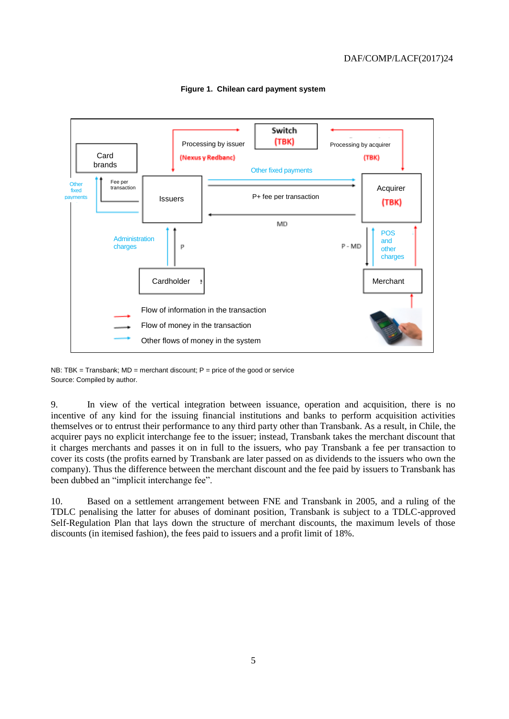

**Figure 1. Chilean card payment system**

NB: TBK = Transbank;  $MD$  = merchant discount; P = price of the good or service Source: Compiled by author.

9. In view of the vertical integration between issuance, operation and acquisition, there is no incentive of any kind for the issuing financial institutions and banks to perform acquisition activities themselves or to entrust their performance to any third party other than Transbank. As a result, in Chile, the acquirer pays no explicit interchange fee to the issuer; instead, Transbank takes the merchant discount that it charges merchants and passes it on in full to the issuers, who pay Transbank a fee per transaction to cover its costs (the profits earned by Transbank are later passed on as dividends to the issuers who own the company). Thus the difference between the merchant discount and the fee paid by issuers to Transbank has been dubbed an "implicit interchange fee".

10. Based on a settlement arrangement between FNE and Transbank in 2005, and a ruling of the TDLC penalising the latter for abuses of dominant position, Transbank is subject to a TDLC-approved Self-Regulation Plan that lays down the structure of merchant discounts, the maximum levels of those discounts (in itemised fashion), the fees paid to issuers and a profit limit of 18%.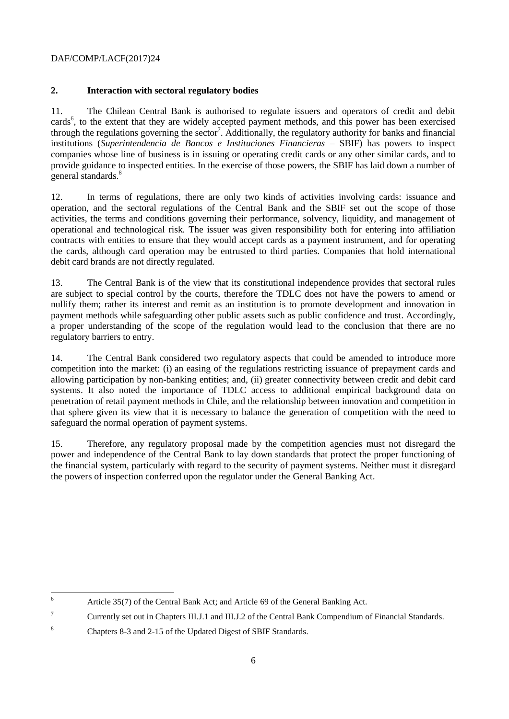#### **2. Interaction with sectoral regulatory bodies**

11. The Chilean Central Bank is authorised to regulate issuers and operators of credit and debit cards<sup>6</sup>, to the extent that they are widely accepted payment methods, and this power has been exercised through the regulations governing the sector<sup>7</sup>. Additionally, the regulatory authority for banks and financial institutions (*Superintendencia de Bancos e Instituciones Financieras* – SBIF) has powers to inspect companies whose line of business is in issuing or operating credit cards or any other similar cards, and to provide guidance to inspected entities. In the exercise of those powers, the SBIF has laid down a number of general standards.<sup>8</sup>

12. In terms of regulations, there are only two kinds of activities involving cards: issuance and operation, and the sectoral regulations of the Central Bank and the SBIF set out the scope of those activities, the terms and conditions governing their performance, solvency, liquidity, and management of operational and technological risk. The issuer was given responsibility both for entering into affiliation contracts with entities to ensure that they would accept cards as a payment instrument, and for operating the cards, although card operation may be entrusted to third parties. Companies that hold international debit card brands are not directly regulated.

13. The Central Bank is of the view that its constitutional independence provides that sectoral rules are subject to special control by the courts, therefore the TDLC does not have the powers to amend or nullify them; rather its interest and remit as an institution is to promote development and innovation in payment methods while safeguarding other public assets such as public confidence and trust. Accordingly, a proper understanding of the scope of the regulation would lead to the conclusion that there are no regulatory barriers to entry.

14. The Central Bank considered two regulatory aspects that could be amended to introduce more competition into the market: (i) an easing of the regulations restricting issuance of prepayment cards and allowing participation by non-banking entities; and, (ii) greater connectivity between credit and debit card systems. It also noted the importance of TDLC access to additional empirical background data on penetration of retail payment methods in Chile, and the relationship between innovation and competition in that sphere given its view that it is necessary to balance the generation of competition with the need to safeguard the normal operation of payment systems.

15. Therefore, any regulatory proposal made by the competition agencies must not disregard the power and independence of the Central Bank to lay down standards that protect the proper functioning of the financial system, particularly with regard to the security of payment systems. Neither must it disregard the powers of inspection conferred upon the regulator under the General Banking Act.

<sup>6</sup> Article 35(7) of the Central Bank Act; and Article 69 of the General Banking Act.

<sup>&</sup>lt;sup>7</sup> Currently set out in Chapters III.J.1 and III.J.2 of the Central Bank Compendium of Financial Standards.

<sup>8</sup> Chapters 8-3 and 2-15 of the Updated Digest of SBIF Standards.